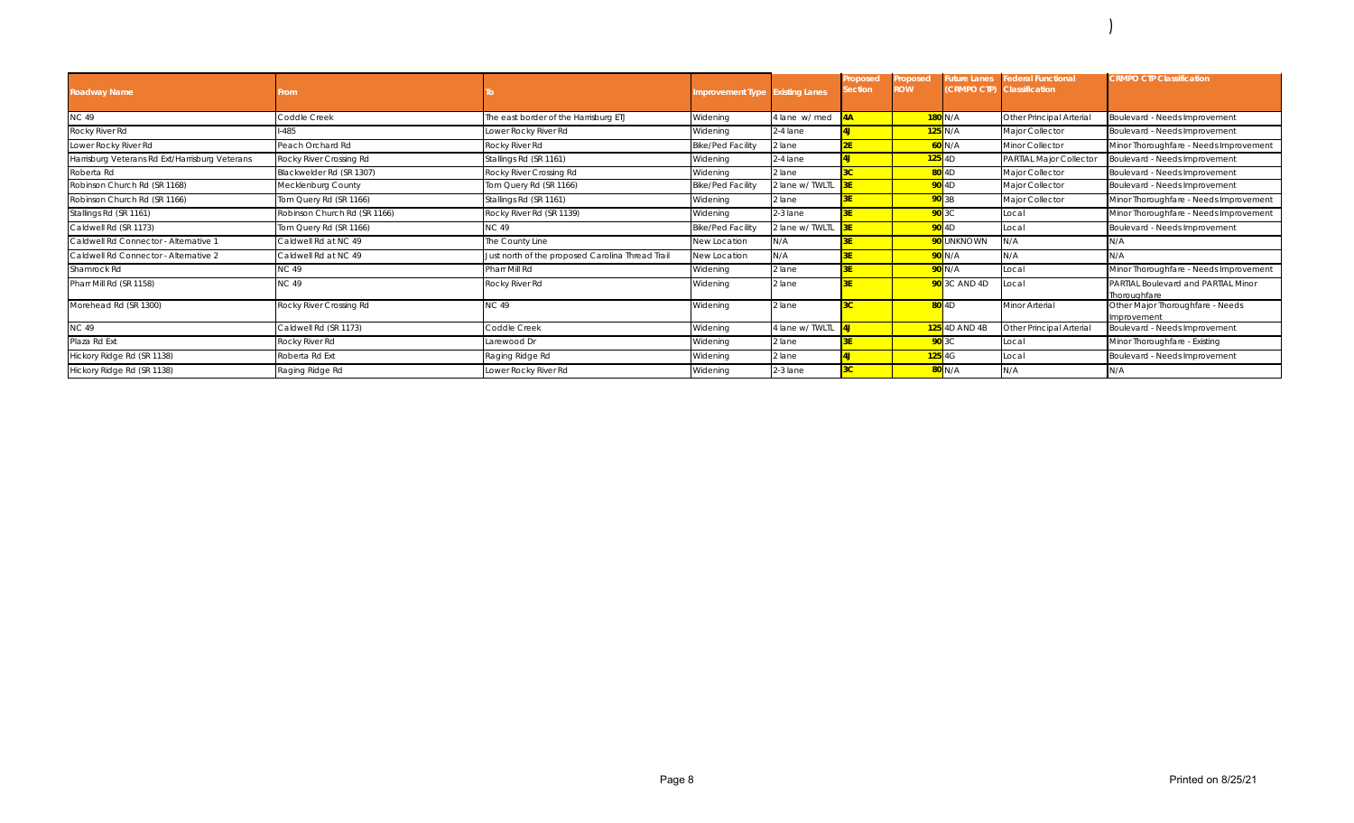| <b>Roadway Name</b>                            | From                         |                                                  | mprovement Type Existing Lanes |                 | roposed<br>ection | Proposed<br><b>ROW</b> |                         | uture Lanes Federal Functional<br>(CRMPO CTP) Classification | <b>CRMPO CTP Classification</b>                     |
|------------------------------------------------|------------------------------|--------------------------------------------------|--------------------------------|-----------------|-------------------|------------------------|-------------------------|--------------------------------------------------------------|-----------------------------------------------------|
| <b>NC 49</b>                                   | Coddle Creek                 | The east border of the Harrisburg ETJ            | Widening                       | 4 lane w/ med   | 4A                |                        | 180 N/A                 | Other Principal Arterial                                     | Boulevard - Needs Improvement                       |
| Rocky River Rd                                 | $-485$                       | Lower Rocky River Rd                             | Widening                       | 2-4 lane        | 4J                |                        | 125 N/A                 | Major Collector                                              | Boulevard - Needs Improvement                       |
| Lower Rocky River Rd                           | Peach Orchard Rd             | Rocky River Rd                                   | <b>Bike/Ped Facility</b>       | 2 lane          |                   |                        | 60 N/A                  | Minor Collector                                              | Minor Thoroughfare - Needs Improvement              |
| Harrisburg Veterans Rd Ext/Harrisburg Veterans | Rocky River Crossing Rd      | Stallings Rd (SR 1161)                           | Widening                       | $2-4$ lane      | 41                |                        | $125$ 4D                | PARTIAL Major Collector                                      | Boulevard - Needs Improvement                       |
| Roberta Rd                                     | Blackwelder Rd (SR 1307)     | Rocky River Crossing Rd                          | Widening                       | 2 lane          | $\overline{3C}$   |                        | 80 4D                   | Major Collector                                              | Boulevard - Needs Improvement                       |
| Robinson Church Rd (SR 1168)                   | Mecklenburg County           | Tom Query Rd (SR 1166)                           | <b>Bike/Ped Facility</b>       | 2 lane w/ TWLTL |                   |                        | 90 4D                   | Major Collector                                              | Boulevard - Needs Improvement                       |
| Robinson Church Rd (SR 1166)                   | Tom Query Rd (SR 1166)       | Stallings Rd (SR 1161)                           | Widening                       | 2 lane          | ξF                |                        | 90 3B                   | Major Collector                                              | Minor Thoroughfare - Needs Improvement              |
| Stallings Rd (SR 1161)                         | Robinson Church Rd (SR 1166) | Rocky River Rd (SR 1139)                         | Widening                       | $2-3$ lane      |                   |                        | 90 3C                   | Local                                                        | Minor Thoroughfare - Needs Improvement              |
| Caldwell Rd (SR 1173)                          | Tom Query Rd (SR 1166)       | NC 49                                            | Bike/Ped Facility              | 2 lane w/ TWLTL |                   |                        | $90$ 4D                 | Local                                                        | Boulevard - Needs Improvement                       |
| Caldwell Rd Connector - Alternative 1          | Caldwell Rd at NC 49         | The County Line                                  | New Location                   | N/A             |                   |                        | <mark>90</mark> unknown | N/A                                                          | N/A                                                 |
| Caldwell Rd Connector - Alternative 2          | Caldwell Rd at NC 49         | Just north of the proposed Carolina Thread Trail | New Location                   | N/A             |                   |                        | 90 N/A                  | N/A                                                          | N/A                                                 |
| Shamrock Rd                                    | <b>NC 49</b>                 | Pharr Mill Rd                                    | Widening                       | 2 lane          |                   |                        | <b>90</b> N/A           | Local                                                        | Minor Thoroughfare - Needs Improvement              |
| Pharr Mill Rd (SR 1158)                        | <b>NC 49</b>                 | Rocky River Rd                                   | Widening                       | 2 lane          |                   |                        | <b>90</b> 3C AND 4D     | Local                                                        | PARTIAL Boulevard and PARTIAL Minor<br>Thoroughfare |
| Morehead Rd (SR 1300)                          | Rocky River Crossing Rd      | <b>NC 49</b>                                     | Widening                       | 2 lane          | ю                 |                        | $80$ 4D                 | Minor Arterial                                               | Other Major Thoroughfare - Needs<br>Improvement     |
| <b>NC 49</b>                                   | Caldwell Rd (SR 1173)        | Coddle Creek                                     | Widening                       | 4 lane w/ TWLTL |                   |                        | <b>125</b> 4D AND 4B    | Other Principal Arterial                                     | Boulevard - Needs Improvement                       |
| Plaza Rd Ext                                   | Rocky River Rd               | Larewood Dr                                      | Widening                       | 2 lane          |                   |                        | 90 3C                   | Local                                                        | Minor Thoroughfare - Existing                       |
| Hickory Ridge Rd (SR 1138)                     | Roberta Rd Ext               | Raging Ridge Rd                                  | Widening                       | 2 lane          |                   |                        | $125$ 4G                | Local                                                        | Boulevard - Needs Improvement                       |
| Hickory Ridge Rd (SR 1138)                     | Raging Ridge Rd              | Lower Rocky River Rd                             | Widening                       | 2-3 lane        | зc                |                        | 80 N/A                  | N/A                                                          | N/A                                                 |

)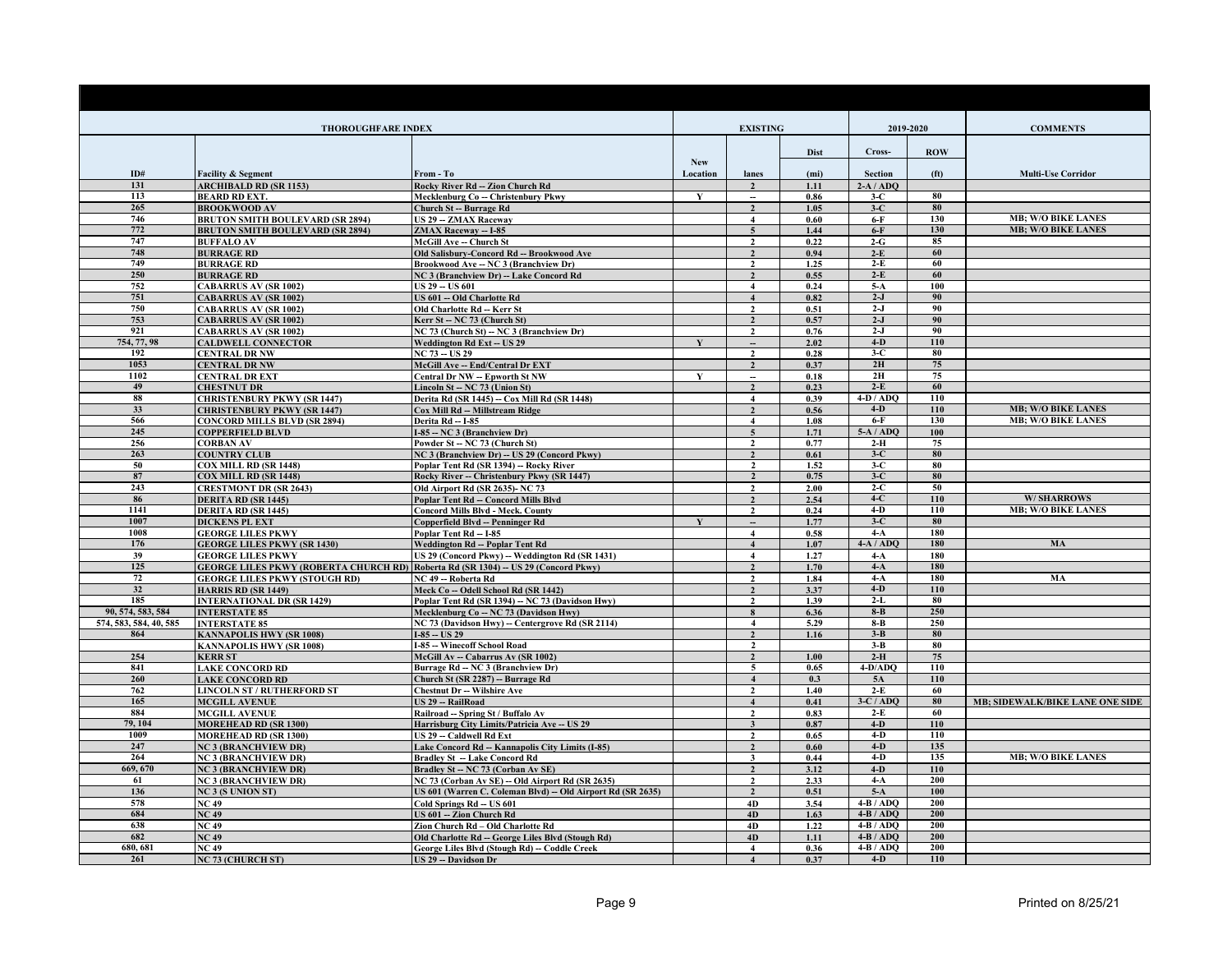| <b>THOROUGHFARE INDEX</b> |                                                                                                                |                                                                                              |              | <b>EXISTING</b>                             |              |                    | 2019-2020         | <b>COMMENTS</b>                                        |
|---------------------------|----------------------------------------------------------------------------------------------------------------|----------------------------------------------------------------------------------------------|--------------|---------------------------------------------|--------------|--------------------|-------------------|--------------------------------------------------------|
|                           |                                                                                                                |                                                                                              | <b>New</b>   |                                             | <b>Dist</b>  | Cross-             | <b>ROW</b>        |                                                        |
| ID#                       | <b>Facility &amp; Segment</b>                                                                                  | From - To                                                                                    | Location     | lanes                                       | (mi)         | Section            | (f <sup>t</sup> ) | <b>Multi-Use Corridor</b>                              |
| 131                       | <b>ARCHIBALD RD (SR 1153)</b>                                                                                  | Rocky River Rd - Zion Church Rd                                                              |              |                                             | 1.11         | $2-A/ADO$          |                   |                                                        |
| 113                       | <b>BEARD RD EXT.</b>                                                                                           | Mecklenburg Co -- Christenbury Pkwy                                                          | Y            | $\overline{\phantom{a}}$                    | 0.86         | $3-C$              | 80                |                                                        |
| 265                       | <b>BROOKWOOD AV</b>                                                                                            | <b>Church St -- Burrage Rd</b>                                                               |              | $\overline{\mathbf{c}}$                     | 1.05         | $3-C$              | 80                |                                                        |
| 746                       | <b>BRUTON SMITH BOULEVARD (SR 2894)</b>                                                                        | US 29 - ZMAX Raceway                                                                         |              | $\overline{4}$                              | 0.60         | $6-F$              | 130               | <b>MB: W/O BIKE LANES</b><br><b>MB; W/O BIKE LANES</b> |
| 772<br>747                | <b>BRUTON SMITH BOULEVARD (SR 2894)</b><br><b>BUFFALO AV</b>                                                   | ZMAX Raceway -- I-85<br><b>McGill Ave - Church St</b>                                        |              | $\overline{5}$<br>$\overline{2}$            | 1.44<br>0.22 | $6-F$<br>$2-G$     | 130<br>85         |                                                        |
| 748                       | <b>BURRAGE RD</b>                                                                                              | Old Salisbury-Concord Rd -- Brookwood Ave                                                    |              | $\overline{2}$                              | 0.94         | $2-E$              | 60                |                                                        |
| 749                       | <b>BURRAGE RD</b>                                                                                              | Brookwood Ave -- NC 3 (Branchview Dr)                                                        |              | $\overline{2}$                              | 1.25         | $2-E$              | 60                |                                                        |
| 250                       | <b>BURRAGE RD</b>                                                                                              | NC 3 (Branchview Dr) -- Lake Concord Rd                                                      |              | $\overline{\mathbf{z}}$                     | 0.55         | $2-E$              | 60                |                                                        |
| 752                       | <b>CABARRUS AV (SR 1002)</b>                                                                                   | <b>US 29 - US 601</b>                                                                        |              | $\overline{4}$                              | 0.24         | $5-A$              | 100               |                                                        |
| 751                       | <b>CABARRUS AV (SR 1002)</b>                                                                                   | US 601 - Old Charlotte Rd                                                                    |              | $\overline{\mathbf{4}}$                     | 0.82         | $2-J$              | 90                |                                                        |
| 750                       | <b>CABARRUS AV (SR 1002)</b>                                                                                   | Old Charlotte Rd - Kerr St                                                                   |              | $\overline{2}$                              | 0.51         | $2-J$              | 90                |                                                        |
| 753                       | <b>CABARRUS AV (SR 1002)</b>                                                                                   | Kerr St -- NC 73 (Church St)                                                                 |              | $\overline{2}$                              | 0.57         | $2-J$              | 90                |                                                        |
| 921<br>754, 77, 98        | <b>CABARRUS AV (SR 1002)</b><br><b>CALDWELL CONNECTOR</b>                                                      | NC 73 (Church St) -- NC 3 (Branchview Dr)                                                    | $\mathbf{v}$ | $\mathbf{2}$                                | 0.76<br>2.02 | $2-J$<br>$4-D$     | 90<br>110         |                                                        |
| 192                       | <b>CENTRAL DR NW</b>                                                                                           | Weddington Rd Ext - US 29<br>$NC$ 73 - $US$ 29                                               |              | $\mathfrak{D}$                              | 0.28         | $3-C$              | 80                |                                                        |
| 1053                      | <b>CENTRAL DR NW</b>                                                                                           | McGill Ave -- End/Central Dr EXT                                                             |              | $\overline{\mathbf{z}}$                     | 0.37         | 2H                 | 75                |                                                        |
| 1102                      | <b>CENTRAL DR EXT</b>                                                                                          | Central Dr NW - Epworth St NW                                                                | $\mathbf{v}$ | $\overline{\phantom{a}}$                    | 0.18         | 2H                 | 75                |                                                        |
| 49                        | <b>CHESTNUT DR</b>                                                                                             | Lincoln St - NC 73 (Union St)                                                                |              | $\overline{2}$                              | 0.23         | $2-E$              | 60                |                                                        |
| 88                        | <b>CHRISTENBURY PKWY (SR 1447)</b>                                                                             | Derita Rd (SR 1445) -- Cox Mill Rd (SR 1448)                                                 |              | $\overline{4}$                              | 0.39         | $4-D / ADQ$        | 110               |                                                        |
| 33                        | <b>CHRISTENBURY PKWY (SR 1447)</b>                                                                             | Cox Mill Rd -- Millstream Ridge                                                              |              | $\overline{\mathbf{c}}$                     | 0.56         | $4-D$              | 110               | <b>MB; W/O BIKE LANES</b>                              |
| 566                       | <b>CONCORD MILLS BLVD (SR 2894)</b>                                                                            | Derita Rd -- I-85                                                                            |              | $\overline{\mathbf{4}}$                     | 1.08         | $6-F$              | 130               | <b>MB; W/O BIKE LANES</b>                              |
| 245                       | <b>COPPERFIELD BLVD</b>                                                                                        | I-85 -- NC 3 (Branchview Dr)                                                                 |              | $\overline{5}$                              | 1.71         | $5-A/ADO$          | 100               |                                                        |
| 256<br>263                | CORBAN AV<br><b>COUNTRY CLUB</b>                                                                               | Powder St - NC 73 (Church St)                                                                |              | $\overline{2}$<br>$\overline{2}$            | 0.77<br>0.61 | $2-H$<br>$3-C$     | 75<br>80          |                                                        |
| 50                        | COX MILL RD (SR 1448)                                                                                          | <b>NC 3 (Branchview Dr) - US 29 (Concord Pkwy)</b><br>Poplar Tent Rd (SR 1394) - Rocky River |              | $\overline{2}$                              | 1.52         | $3-C$              | 80                |                                                        |
| 87                        | <b>COX MILL RD (SR 1448)</b>                                                                                   | Rocky River - Christenbury Pkwy (SR 1447)                                                    |              | $\overline{2}$                              | 0.75         | $3-C$              | 80                |                                                        |
| 243                       | <b>CRESTMONT DR (SR 2643)</b>                                                                                  | Old Airport Rd (SR 2635)- NC 73                                                              |              | $\mathbf{2}$                                | 2.00         | $2-C$              | 50                |                                                        |
| 86                        | <b>DERITA RD (SR 1445)</b>                                                                                     | Poplar Tent Rd -- Concord Mills Blvd                                                         |              | $\mathcal{L}$                               | 2.54         | $4-C$              | 110               | <b>W/SHARROWS</b>                                      |
| 1141                      | DERITA RD (SR 1445)                                                                                            | <b>Concord Mills Blvd - Meck. County</b>                                                     |              | $\mathcal{L}$                               | 0.24         | $4-D$              | 110               | <b>MB; W/O BIKE LANES</b>                              |
| 1007                      | <b>DICKENS PL EXT</b>                                                                                          | <b>Copperfield Blvd -- Penninger Rd</b>                                                      | $\mathbf{v}$ |                                             | 1.77         | $3-C$              | 80                |                                                        |
| 1008                      | <b>GEORGE LILES PKWY</b>                                                                                       | Poplar Tent Rd - I-85                                                                        |              | $\overline{4}$                              | 0.58         | $4-A$              | 180<br>180        |                                                        |
| 176<br>39                 | <b>GEORGE LILES PKWY (SR 1430)</b>                                                                             | <b>Weddington Rd -- Poplar Tent Rd</b>                                                       |              | $\overline{4}$                              | 1.07<br>1.27 | $4-A/ADQ$          | 180               | MA                                                     |
| 125                       | <b>GEORGE LILES PKWY</b><br>GEORGE LILES PKWY (ROBERTA CHURCH RD) Roberta Rd (SR 1304) -- US 29 (Concord Pkwy) | US 29 (Concord Pkwy) -- Weddington Rd (SR 1431)                                              |              | $\overline{4}$<br>$\overline{2}$            | 1.70         | $4-A$<br>$4-A$     | 180               |                                                        |
| 72                        | <b>GEORGE LILES PKWY (STOUGH RD)</b>                                                                           | NC 49 -- Roberta Rd                                                                          |              | $\overline{2}$                              | 1.84         | $4-A$              | 180               | MA                                                     |
| 32                        | <b>HARRIS RD (SR 1449)</b>                                                                                     | Meck Co -- Odell School Rd (SR 1442)                                                         |              | $\overline{2}$                              | 3.37         | $4-D$              | 110               |                                                        |
| 185                       | <b>INTERNATIONAL DR (SR 1429)</b>                                                                              | Poplar Tent Rd (SR 1394) - NC 73 (Davidson Hwy)                                              |              | $\mathbf{2}$                                | 1.39         | $2-L$              | 80                |                                                        |
| 90, 574, 583, 584         | <b>INTERSTATE 85</b>                                                                                           | Mecklenburg Co -- NC 73 (Davidson Hwy)                                                       |              | 8                                           | 6.36         | $8 - B$            | 250               |                                                        |
| 574, 583, 584, 40, 585    | <b>INTERSTATE 85</b>                                                                                           | NC 73 (Davidson Hwy) - Centergrove Rd (SR 2114)                                              |              | $\overline{4}$                              | 5.29         | $8 - B$            | 250               |                                                        |
| 864                       | <b>KANNAPOLIS HWY (SR 1008)</b>                                                                                | $I-85 - US29$                                                                                |              | $\overline{2}$                              | 1.16         | $3 - B$            | 80                |                                                        |
| 254                       | <b>KANNAPOLIS HWY (SR 1008)</b>                                                                                | I-85 -- Winecoff School Road                                                                 |              | $\overline{2}$<br>$\overline{2}$            |              | $3 - B$<br>$2-H$   | 80<br>75          |                                                        |
| 841                       | <b>KERR ST</b><br><b>LAKE CONCORD RD</b>                                                                       | McGill Av - Cabarrus Av (SR 1002)<br>Burrage Rd - NC 3 (Branchview Dr)                       |              | 5                                           | 1.00<br>0.65 | $4-D/ADO$          | 110               |                                                        |
| 260                       | <b>LAKE CONCORD RD</b>                                                                                         | Church St (SR 2287) -- Burrage Rd                                                            |              | $\overline{\mathbf{4}}$                     | 0.3          | 5A                 | 110               |                                                        |
| 762                       | <b>LINCOLN ST / RUTHERFORD ST</b>                                                                              | <b>Chestnut Dr -- Wilshire Ave</b>                                                           |              | $\overline{2}$                              | 1.40         | $2-E$              | 60                |                                                        |
| 165                       | <b>MCGILL AVENUE</b>                                                                                           | <b>US 29 -- RailRoad</b>                                                                     |              | $\overline{\mathbf{4}}$                     | 0.41         | $3-C/ADO$          | 80                | <b>MB: SIDEWALK/BIKE LANE ONE SIDE</b>                 |
| 884                       | <b>MCGILL AVENUE</b>                                                                                           | Railroad - Spring St / Buffalo Av                                                            |              | $\mathbf{2}$                                | 0.83         | $2-E$              | 60                |                                                        |
| 79, 104                   | <b>MOREHEAD RD (SR 1300)</b>                                                                                   | Harrisburg City Limits/Patricia Ave - US 29                                                  |              | $\overline{\mathbf{3}}$                     | 0.87         | $4-D$              | 110               |                                                        |
| 1009                      | <b>MOREHEAD RD (SR 1300)</b>                                                                                   | US 29 - Caldwell Rd Ext                                                                      |              | $\overline{2}$                              | 0.65         | $4-D$              | 110               |                                                        |
| 247<br>264                | <b>NC 3 (BRANCHVIEW DR)</b>                                                                                    | Lake Concord Rd -- Kannapolis City Limits (I-85)                                             |              | $\overline{2}$                              | 0.60         | $4-D$<br>$4-D$     | 135<br>135        | <b>MB; W/O BIKE LANES</b>                              |
| 669, 670                  | <b>NC 3 (BRANCHVIEW DR)</b><br><b>NC 3 (BRANCHVIEW DR)</b>                                                     | <b>Bradley St -- Lake Concord Rd</b><br>Bradley St -- NC 73 (Corban Av SE)                   |              | 3<br>$\overline{2}$                         | 0.44<br>3.12 | $4-D$              | 110               |                                                        |
| 61                        | <b>NC 3 (BRANCHVIEW DR)</b>                                                                                    | NC 73 (Corban Av SE) -- Old Airport Rd (SR 2635)                                             |              | $\overline{2}$                              | 2.33         | $4-A$              | 200               |                                                        |
| 136                       | <b>NC 3 (S UNION ST)</b>                                                                                       | US 601 (Warren C. Coleman Blvd) -- Old Airport Rd (SR 2635)                                  |              | $\overline{2}$                              | 0.51         | $5-A$              | 100               |                                                        |
| 578                       | $\overline{NC}$ 49                                                                                             | Cold Springs Rd - US 601                                                                     |              | 4D                                          | 3.54         | $4-B/ADO$          | 200               |                                                        |
| 684                       | <b>NC 49</b>                                                                                                   | US 601 -- Zion Church Rd                                                                     |              | 4D                                          | 1.63         | $4-B/ADO$          | 200               |                                                        |
| 638                       | <b>NC 49</b>                                                                                                   | Zion Church Rd - Old Charlotte Rd                                                            |              | 4D                                          | 1.22         | $4-B/ADO$          | 200               |                                                        |
| 682                       | <b>NC 49</b>                                                                                                   | Old Charlotte Rd -- George Liles Blvd (Stough Rd)                                            |              | 4D                                          | 1.11         | $4-B/ADO$          | 200               |                                                        |
| 680, 681<br>261           | <b>NC 49</b>                                                                                                   | George Liles Blvd (Stough Rd) - Coddle Creek                                                 |              | $\blacktriangle$<br>$\overline{\mathbf{4}}$ | 0.36<br>0.37 | $4-B/ADO$<br>$4-D$ | 200<br>110        |                                                        |
|                           | <b>NC 73 (CHURCH ST)</b>                                                                                       | US 29 -- Davidson Dr                                                                         |              |                                             |              |                    |                   |                                                        |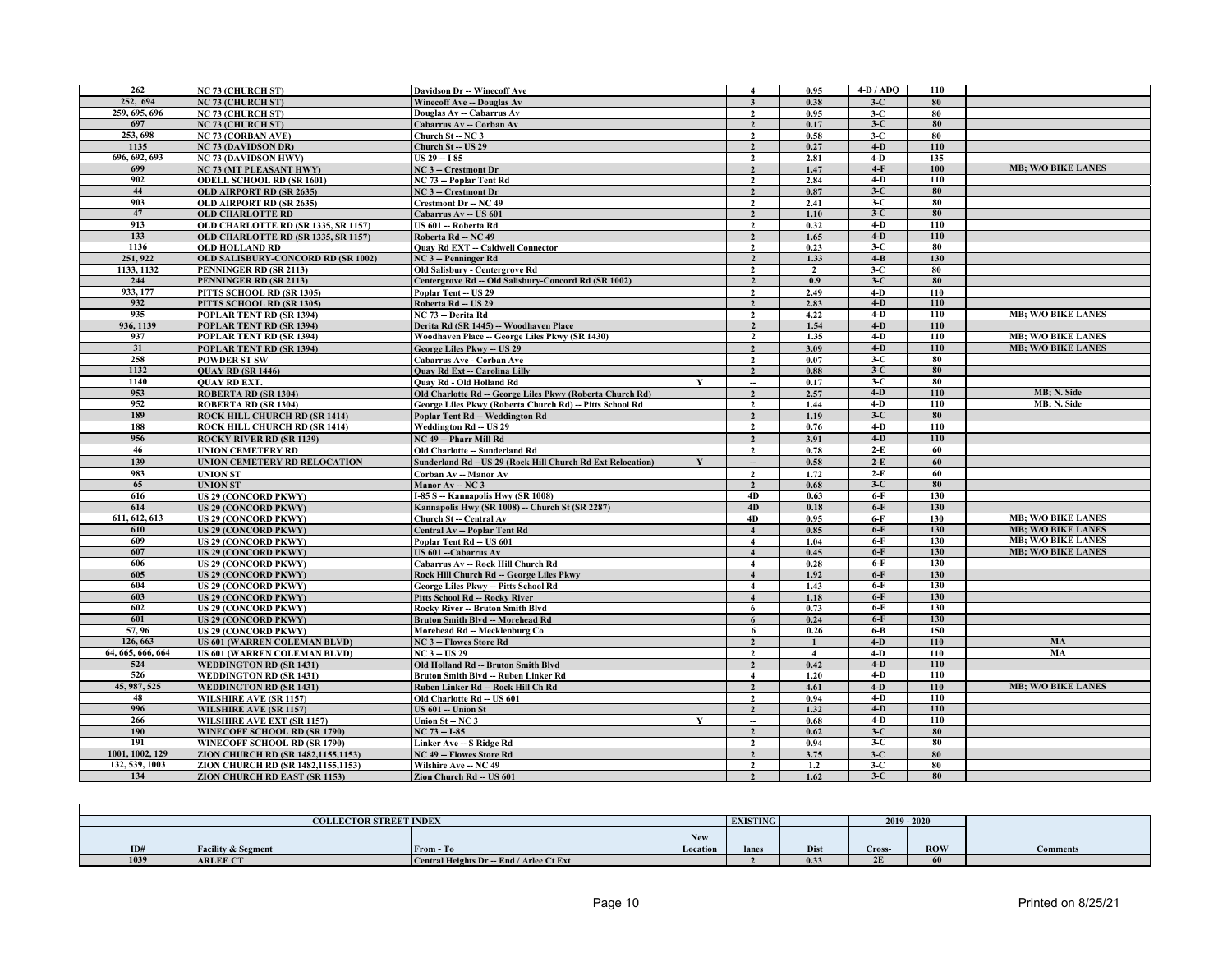| 262               | <b>NC 73 (CHURCH ST)</b>             | Davidson Dr -- Winecoff Ave                                 |   | $\overline{4}$                             | 0.95           | $4-D / ADQ$ | 110 |                           |
|-------------------|--------------------------------------|-------------------------------------------------------------|---|--------------------------------------------|----------------|-------------|-----|---------------------------|
| 252, 694          | <b>NC 73 (CHURCH ST)</b>             | <b>Winecoff Ave -- Douglas Av</b>                           |   | $\mathbf{3}$                               | 0.38           | $3-C$       | 80  |                           |
| 259, 695, 696     | <b>NC 73 (CHURCH ST)</b>             | Douglas Av - Cabarrus Av                                    |   | $\overline{2}$                             | 0.95           | $3-C$       | 80  |                           |
| 697               | <b>NC 73 (CHURCH ST)</b>             | Cabarrus Av - Corban Av                                     |   | $\overline{2}$                             | 0.17           | $3-C$       | 80  |                           |
| 253, 698          | <b>NC 73 (CORBAN AVE)</b>            | Church St -- NC 3                                           |   | $\overline{2}$                             | 0.58           | $3-C$       | 80  |                           |
| 1135              | <b>NC 73 (DAVIDSON DR)</b>           | Church St -- US 29                                          |   | $\overline{2}$                             | 0.27           | $4-D$       | 110 |                           |
| 696, 692, 693     | <b>NC 73 (DAVIDSON HWY)</b>          | <b>US 29 - I 85</b>                                         |   | $\overline{2}$                             | 2.81           | $4-D$       | 135 |                           |
| 699               | <b>NC 73 (MT PLEASANT HWY)</b>       | NC 3 -- Crestmont Dr                                        |   | $\overline{2}$                             | 1.47           | $4-F$       | 100 | <b>MB; W/O BIKE LANES</b> |
| 902               | <b>ODELL SCHOOL RD (SR 1601)</b>     | NC 73 -- Poplar Tent Rd                                     |   | $\overline{2}$                             | 2.84           | $4-D$       | 110 |                           |
| 44                | <b>OLD AIRPORT RD (SR 2635)</b>      | NC 3 -- Crestmont Dr                                        |   | $\overline{2}$                             | 0.87           | $3-C$       | 80  |                           |
| 903               | OLD AIRPORT RD (SR 2635)             | <b>Crestmont Dr - NC 49</b>                                 |   | $\overline{2}$                             | 2.41           | $3-C$       | 80  |                           |
| 47                | <b>OLD CHARLOTTE RD</b>              | Cabarrus Av -- US 601                                       |   | $\overline{2}$                             | 1.10           | $3-C$       | 80  |                           |
| 913               | OLD CHARLOTTE RD (SR 1335, SR 1157)  | US 601 -- Roberta Rd                                        |   | $\overline{2}$                             | 0.32           | $4-D$       | 110 |                           |
| 133               | OLD CHARLOTTE RD (SR 1335, SR 1157)  | Roberta Rd - NC 49                                          |   | $\overline{2}$                             | 1.65           | $4-D$       | 110 |                           |
| 1136              | <b>OLD HOLLAND RD</b>                | <b>Quay Rd EXT - Caldwell Connector</b>                     |   | $\overline{2}$                             | 0.23           | $3-C$       | 80  |                           |
| 251, 922          | OLD SALISBURY-CONCORD RD (SR 1002)   | NC 3 -- Penninger Rd                                        |   | $\overline{2}$                             | 1.33           | $4 - B$     | 130 |                           |
| 1133, 1132        | PENNINGER RD (SR 2113)               | Old Salisbury - Centergrove Rd                              |   |                                            | $\overline{2}$ | $3-C$       | 80  |                           |
| 244               | PENNINGER RD (SR 2113)               | Centergrove Rd -- Old Salisbury-Concord Rd (SR 1002)        |   | $\overline{2}$<br>$\overline{2}$           | 0.9            | $3-C$       | 80  |                           |
| 933, 177          | PITTS SCHOOL RD (SR 1305)            | <b>Poplar Tent - US 29</b>                                  |   | $\overline{2}$                             | 2.49           | $4-D$       | 110 |                           |
|                   |                                      |                                                             |   |                                            |                | $4-D$       | 110 |                           |
| 932               | PITTS SCHOOL RD (SR 1305)            | Roberta Rd - US 29                                          |   | $\overline{2}$                             | 2.83           |             |     |                           |
| 935               | POPLAR TENT RD (SR 1394)             | NC 73 -- Derita Rd                                          |   | $\overline{2}$                             | 4.22           | $4-D$       | 110 | <b>MB; W/O BIKE LANES</b> |
| 936, 1139         | POPLAR TENT RD (SR 1394)             | Derita Rd (SR 1445) -- Woodhaven Place                      |   | $\overline{2}$                             | 1.54           | $4-D$       | 110 |                           |
| 937               | POPLAR TENT RD (SR 1394)             | Woodhaven Place -- George Liles Pkwy (SR 1430)              |   | $\overline{2}$                             | 1.35           | $4-D$       | 110 | <b>MB; W/O BIKE LANES</b> |
| 31                | POPLAR TENT RD (SR 1394)             | George Liles Pkwy - US 29                                   |   | $\overline{2}$                             | 3.09           | $4-D$       | 110 | <b>MB; W/O BIKE LANES</b> |
| 258               | <b>POWDER ST SW</b>                  | Cabarrus Ave - Corban Ave                                   |   | $\overline{2}$                             | 0.07           | $3-C$       | 80  |                           |
| 1132              | <b>QUAY RD (SR 1446)</b>             | <b>Quay Rd Ext - Carolina Lilly</b>                         |   | $\overline{2}$                             | 0.88           | $3-C$       | 80  |                           |
| 1140              | <b>OUAY RD EXT.</b>                  | <b>Quay Rd - Old Holland Rd</b>                             | Y | $\overline{\phantom{a}}$                   | 0.17           | $3-C$       | 80  |                           |
| 953               | <b>ROBERTA RD (SR 1304)</b>          | Old Charlotte Rd -- George Liles Pkwy (Roberta Church Rd)   |   | $\overline{2}$                             | 2.57           | $4-D$       | 110 | MB; N. Side               |
| 952               | ROBERTA RD (SR 1304)                 | George Liles Pkwy (Roberta Church Rd) -- Pitts School Rd    |   | $\overline{2}$                             | 1.44           | $4-D$       | 110 | MB; N. Side               |
| 189               | <b>ROCK HILL CHURCH RD (SR 1414)</b> | Poplar Tent Rd -- Weddington Rd                             |   | $\overline{2}$                             | 1.19           | $3-C$       | 80  |                           |
| 188               | <b>ROCK HILL CHURCH RD (SR 1414)</b> | Weddington Rd -- US 29                                      |   | $\overline{2}$                             | 0.76           | $4-D$       | 110 |                           |
| 956               | <b>ROCKY RIVER RD (SR 1139)</b>      | NC 49 -- Pharr Mill Rd                                      |   | $\overline{2}$                             | 3.91           | $4-D$       | 110 |                           |
| 46                | <b>UNION CEMETERY RD</b>             | Old Charlotte - Sunderland Rd                               |   | $\overline{2}$                             | 0.78           | $2-E$       | 60  |                           |
| 139               | UNION CEMETERY RD RELOCATION         | Sunderland Rd -- US 29 (Rock Hill Church Rd Ext Relocation) | Y | $\overline{\phantom{a}}$                   | 0.58           | $2-E$       | 60  |                           |
| 983               | <b>UNION ST</b>                      | Corban Av -- Manor Av                                       |   | $\mathbf{2}$                               | 1.72           | $2-E$       | 60  |                           |
| 65                | <b>UNION ST</b>                      | Manor Av - NC 3                                             |   | $\overline{2}$                             | 0.68           | $3-C$       | 80  |                           |
| 616               | US 29 (CONCORD PKWY)                 | I-85 S -- Kannapolis Hwy (SR 1008)                          |   | 4D                                         | 0.63           | $6-F$       | 130 |                           |
| 614               | <b>US 29 (CONCORD PKWY)</b>          | Kannapolis Hwy (SR 1008) - Church St (SR 2287)              |   | 4D                                         | 0.18           | $6-F$       | 130 |                           |
| 611, 612, 613     | US 29 (CONCORD PKWY)                 | Church St -- Central Av                                     |   | 4D                                         | 0.95           | $6-F$       | 130 | <b>MB; W/O BIKE LANES</b> |
| 610               | <b>US 29 (CONCORD PKWY)</b>          | <b>Central Av -- Poplar Tent Rd</b>                         |   |                                            | 0.85           | $6-F$       | 130 | <b>MB; W/O BIKE LANES</b> |
| 609               | US 29 (CONCORD PKWY)                 | Poplar Tent Rd - US 601                                     |   | $\overline{\mathbf{4}}$                    | 1.04           | $6-F$       | 130 | <b>MB; W/O BIKE LANES</b> |
| 607               | <b>US 29 (CONCORD PKWY)</b>          | US 601 - Cabarrus Av                                        |   | $\overline{\mathbf{4}}$                    | 0.45           | $6-F$       | 130 | <b>MB; W/O BIKE LANES</b> |
| 606               | <b>US 29 (CONCORD PKWY)</b>          | Cabarrus Av -- Rock Hill Church Rd                          |   | $\overline{4}$                             | 0.28           | $6-F$       | 130 |                           |
| 605               | US 29 (CONCORD PKWY)                 | Rock Hill Church Rd -- George Liles Pkwy                    |   | $\overline{4}$                             | 1.92           | $6-F$       | 130 |                           |
| 604               | US 29 (CONCORD PKWY)                 | <b>George Liles Pkwy - Pitts School Rd</b>                  |   | $\overline{\mathbf{4}}$                    | 1.43           | $6-F$       | 130 |                           |
| 603               | <b>US 29 (CONCORD PKWY)</b>          | <b>Pitts School Rd -- Rocky River</b>                       |   | $\overline{\mathbf{4}}$                    | 1.18           | $6-F$       | 130 |                           |
| 602               | US 29 (CONCORD PKWY)                 | <b>Rocky River -- Bruton Smith Blvd</b>                     |   | 6                                          | 0.73           | $6-F$       | 130 |                           |
| 601               | <b>US 29 (CONCORD PKWY)</b>          | <b>Bruton Smith Blvd -- Morehead Rd</b>                     |   | 6                                          | 0.24           | $6-F$       | 130 |                           |
| 57,96             | US 29 (CONCORD PKWY)                 | Morehead Rd -- Mecklenburg Co                               |   | 6                                          | 0.26           | $6 - B$     | 150 |                           |
| 126,663           | US 601 (WARREN COLEMAN BLVD)         | <b>NC 3 -- Flowes Store Rd</b>                              |   | $\overline{2}$                             |                | $4-D$       | 110 | MA                        |
| 64, 665, 666, 664 | US 601 (WARREN COLEMAN BLVD)         | $NC3 - US29$                                                |   | $\overline{2}$                             | $\overline{4}$ | $4-D$       | 110 | MA                        |
| 524               | <b>WEDDINGTON RD (SR 1431)</b>       | Old Holland Rd -- Bruton Smith Blvd                         |   | $\overline{2}$                             | 0.42           | $4-D$       | 110 |                           |
| 526               | <b>WEDDINGTON RD (SR 1431)</b>       | Bruton Smith Blvd -- Ruben Linker Rd                        |   | $\overline{4}$                             | 1.20           | $4-D$       | 110 |                           |
| 45, 987, 525      | <b>WEDDINGTON RD (SR 1431)</b>       | Ruben Linker Rd -- Rock Hill Ch Rd                          |   | $\overline{2}$                             | 4.61           | $4-D$       | 110 | <b>MB; W/O BIKE LANES</b> |
| 48                | <b>WILSHIRE AVE (SR 1157)</b>        | Old Charlotte Rd - US 601                                   |   | $\overline{2}$                             | 0.94           | $4-D$       | 110 |                           |
| 996               | WILSHIRE AVE (SR 1157)               | US 601 - Union St                                           |   | $\overline{2}$                             | 1.32           | $4-D$       | 110 |                           |
| 266               |                                      |                                                             | Y |                                            | 0.68           | $4-D$       | 110 |                           |
| 190               | <b>WILSHIRE AVE EXT (SR 1157)</b>    | Union St-NC3<br>NC 73 -- I-85                               |   | $\overline{\phantom{a}}$<br>$\overline{2}$ |                | $3-C$       | 80  |                           |
| 191               | WINECOFF SCHOOL RD (SR 1790)         |                                                             |   |                                            | 0.62           | $3-C$       | 80  |                           |
| 1001, 1002, 129   | WINECOFF SCHOOL RD (SR 1790)         | Linker Ave -- S Ridge Rd                                    |   | $\overline{2}$                             | 0.94           |             |     |                           |
| 132, 539, 1003    | ZION CHURCH RD (SR 1482,1155,1153)   | <b>NC 49 -- Flowes Store Rd</b>                             |   | $\overline{2}$                             | 3.75           | $3-C$       | 80  |                           |
|                   | ZION CHURCH RD (SR 1482.1155.1153)   | Wilshire Ave - NC 49                                        |   | $\overline{2}$                             | 1.2            | $3-C$       | 80  |                           |
| 134               | ZION CHURCH RD EAST (SR 1153)        | Zion Church Rd -- US 601                                    |   | $\overline{\mathbf{z}}$                    | 1.62           | $3-C$       | 80  |                           |

|      | <b>COLLECTOR STREET INDEX</b> |                                         |          | <b>EXISTING</b> |      |        | $2019 - 2020$ |                 |
|------|-------------------------------|-----------------------------------------|----------|-----------------|------|--------|---------------|-----------------|
|      |                               |                                         | New      |                 |      |        |               |                 |
| ID#  | <b>Facility &amp; Segment</b> | From - To                               | Location | lanes           | Dist | Cross- | <b>ROW</b>    | <b>Comments</b> |
| 1039 | <b>ARLEE CT</b>               | Central Heights Dr - End / Arlee Ct Ext |          |                 | 0.33 | 2E     | 61            |                 |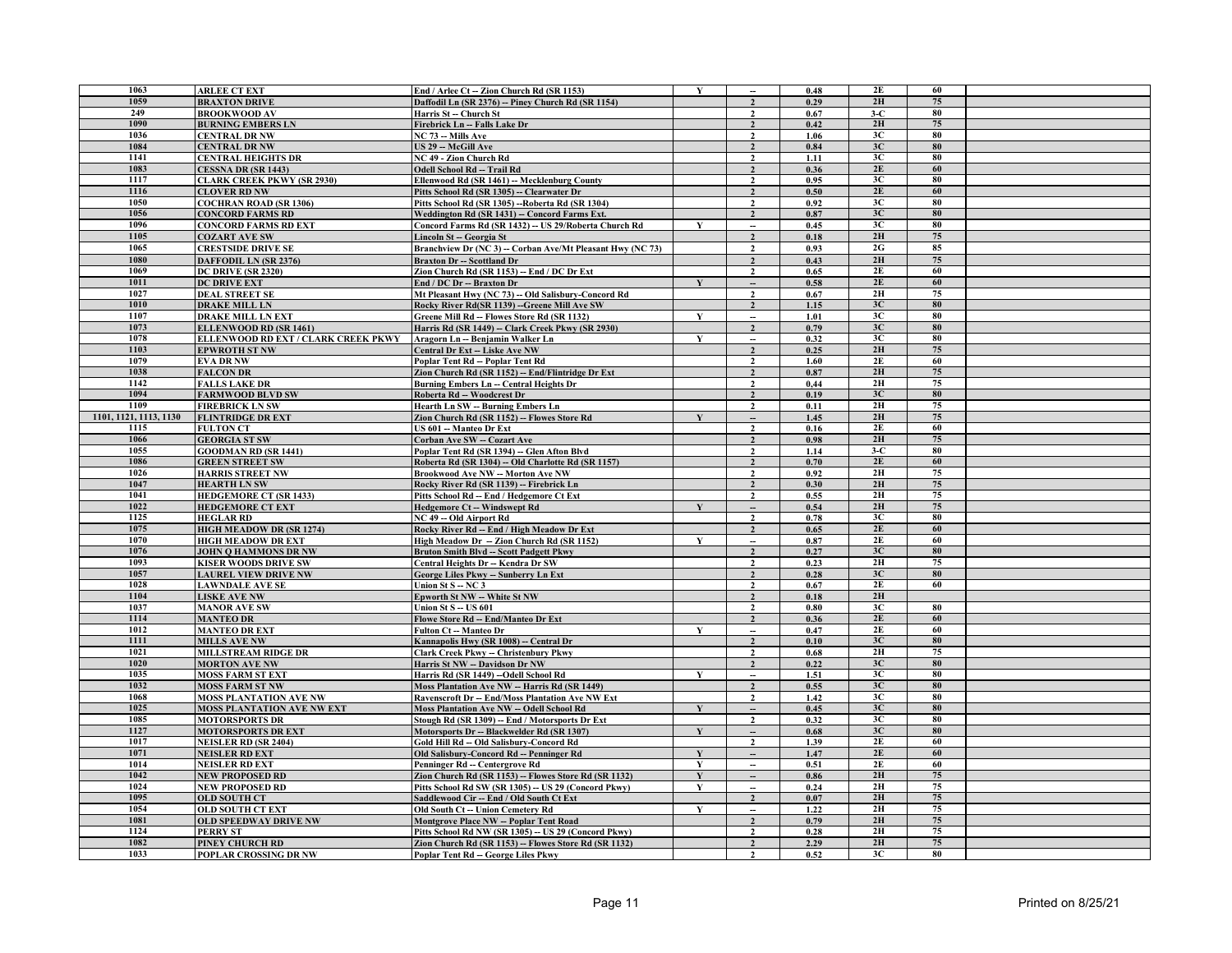| 1063                   | <b>ARLEE CT EXT</b>                 | End / Arlee Ct - Zion Church Rd (SR 1153)                 | $\mathbf Y$  | $\overline{\phantom{a}}$ | 0.48 | 2E    | 60 |  |
|------------------------|-------------------------------------|-----------------------------------------------------------|--------------|--------------------------|------|-------|----|--|
| 1059                   | <b>BRAXTON DRIVE</b>                | Daffodil Ln (SR 2376) -- Piney Church Rd (SR 1154)        |              | $\overline{2}$           | 0.29 | 2H    | 75 |  |
| 249                    | <b>BROOKWOOD AV</b>                 | Harris St - Church St                                     |              | $\overline{\mathbf{z}}$  | 0.67 | $3-C$ | 80 |  |
| 1090                   | <b>BURNING EMBERS LN</b>            | Firebrick Ln -- Falls Lake Dr                             |              | $\overline{2}$           | 0.42 | 2H    | 75 |  |
| 1036                   | <b>CENTRAL DR NW</b>                | NC 73 -- Mills Ave                                        |              | $\overline{2}$           | 1.06 | 3C    | 80 |  |
| 1084                   | <b>CENTRAL DR NW</b>                | <b>US 29 -- McGill Ave</b>                                |              | $\mathcal{L}$            | 0.84 | 3C    | 80 |  |
| 1141                   | <b>CENTRAL HEIGHTS DR</b>           | NC 49 - Zion Church Rd                                    |              | $\overline{2}$           | 1.11 | 3C    | 80 |  |
| 1083                   |                                     |                                                           |              |                          |      | 2E    | 60 |  |
|                        | CESSNA DR (SR 1443)                 | Odell School Rd -- Trail Rd                               |              | $\overline{2}$           | 0.36 |       |    |  |
| 1117                   | <b>CLARK CREEK PKWY (SR 2930)</b>   | Ellenwood Rd (SR 1461) - Mecklenburg County               |              | $\overline{2}$           | 0.95 | 3C    | 80 |  |
| 1116                   | <b>CLOVER RD NW</b>                 | Pitts School Rd (SR 1305) -- Clearwater Dr                |              | $\overline{2}$           | 0.50 | 2E    | 60 |  |
| 1050                   | <b>COCHRAN ROAD (SR 1306)</b>       | Pitts School Rd (SR 1305) -- Roberta Rd (SR 1304)         |              | $\overline{2}$           | 0.92 | 3C    | 80 |  |
| 1056                   | <b>CONCORD FARMS RD</b>             | Weddington Rd (SR 1431) -- Concord Farms Ext.             |              | $\overline{2}$           | 0.87 | 3C    | 80 |  |
| 1096                   | <b>CONCORD FARMS RD EXT</b>         | Concord Farms Rd (SR 1432) -- US 29/Roberta Church Rd     | Y            | $\overline{\phantom{a}}$ | 0.45 | 3C    | 80 |  |
| 1105                   | <b>COZART AVE SW</b>                | Lincoln St -- Georgia St                                  |              | $\overline{2}$           | 0.18 | 2H    | 75 |  |
| 1065                   | <b>CRESTSIDE DRIVE SE</b>           | Branchview Dr (NC 3) - Corban Ave/Mt Pleasant Hwy (NC 73) |              | $\mathbf{2}$             | 0.93 | 2G    | 85 |  |
| 1080                   | <b>DAFFODIL LN (SR 2376)</b>        | <b>Braxton Dr</b> -- Scottland Dr                         |              | $\overline{2}$           | 0.43 | 2H    | 75 |  |
| 1069                   | <b>DC DRIVE (SR 2320)</b>           | Zion Church Rd (SR 1153) -- End / DC Dr Ext               |              | $\overline{2}$           | 0.65 | 2E    | 60 |  |
| 1011                   | <b>DC DRIVE EXT</b>                 | End / DC Dr -- Braxton Dr                                 | $\mathbf{v}$ | $\overline{\phantom{a}}$ | 0.58 | 2E    | 60 |  |
| 1027                   | <b>DEAL STREET SE</b>               | Mt Pleasant Hwy (NC 73) - Old Salisbury-Concord Rd        |              | $\mathbf{2}$             | 0.67 | 2H    | 75 |  |
| 1010                   | <b>DRAKE MILL LN</b>                | Rocky River Rd(SR 1139) -- Greene Mill Ave SW             |              | $\overline{2}$           | 1.15 | 3C    | 80 |  |
| 1107                   | <b>DRAKE MILL LN EXT</b>            | Greene Mill Rd -- Flowes Store Rd (SR 1132)               | Y            | $\overline{\phantom{a}}$ | 1.01 | 3C    | 80 |  |
| 1073                   |                                     | Harris Rd (SR 1449) -- Clark Creek Pkwy (SR 2930)         |              | $\overline{2}$           | 0.79 | 3C    | 80 |  |
| 1078                   | ELLENWOOD RD (SR 1461)              |                                                           |              |                          | 0.32 | 3C    | 80 |  |
|                        | ELLENWOOD RD EXT / CLARK CREEK PKWY | Aragorn Ln -- Benjamin Walker Ln                          | Y            |                          |      |       |    |  |
| 1103                   | <b>EPWROTH ST NW</b>                | Central Dr Ext -- Liske Ave NW                            |              | $\overline{\mathbf{2}}$  | 0.25 | 2H    | 75 |  |
| 1079                   | <b>EVA DR NW</b>                    | Poplar Tent Rd - Poplar Tent Rd                           |              | $\mathbf{2}$             | 1.60 | 2E    | 60 |  |
| 1038                   | <b>FALCON DR</b>                    | Zion Church Rd (SR 1152) -- End/Flintridge Dr Ext         |              | $\overline{2}$           | 0.87 | 2H    | 75 |  |
| 1142                   | <b>FALLS LAKE DR</b>                | Burning Embers Ln - Central Heights Dr                    |              | $\overline{2}$           | 0,44 | 2H    | 75 |  |
| 1094                   | <b>FARMWOOD BLVD SW</b>             | Roberta Rd -- Woodcrest Dr                                |              | $\overline{2}$           | 0.19 | 3C    | 80 |  |
| 1109                   | <b>FIREBRICK LN SW</b>              | Hearth Ln SW -- Burning Embers Ln                         |              | $\mathbf{2}$             | 0.11 | 2H    | 75 |  |
| 1101, 1121, 1113, 1130 | <b>FLINTRIDGE DR EXT</b>            | Zion Church Rd (SR 1152) -- Flowes Store Rd               | $\mathbf{v}$ | $\overline{\phantom{a}}$ | 1.45 | 2H    | 75 |  |
| 1115                   | <b>FULTON CT</b>                    | US 601 - Manteo Dr Ext                                    |              | $\overline{2}$           | 0.16 | 2E    | 60 |  |
| 1066                   | <b>GEORGIA ST SW</b>                | Corban Ave SW -- Cozart Ave                               |              | $\overline{2}$           | 0.98 | 2H    | 75 |  |
| 1055                   | <b>GOODMAN RD (SR 1441)</b>         | Poplar Tent Rd (SR 1394) - Glen Afton Blvd                |              | $\overline{2}$           | 1.14 | $3-C$ | 80 |  |
| 1086                   | <b>GREEN STREET SW</b>              | Roberta Rd (SR 1304) - Old Charlotte Rd (SR 1157)         |              | $\overline{2}$           | 0.70 | 2E    | 60 |  |
| 1026                   | <b>HARRIS STREET NW</b>             | Brookwood Ave NW - Morton Ave NW                          |              | $\overline{2}$           | 0.92 | 2H    | 75 |  |
| 1047                   | <b>HEARTH LN SW</b>                 | Rocky River Rd (SR 1139) -- Firebrick Ln                  |              | $\mathcal{L}$            | 0.30 | 2H    | 75 |  |
| 1041                   | <b>HEDGEMORE CT (SR 1433)</b>       | Pitts School Rd - End / Hedgemore Ct Ext                  |              | $\overline{\mathbf{z}}$  | 0.55 | 2H    | 75 |  |
| 1022                   | <b>HEDGEMORE CT EXT</b>             | Hedgemore Ct -- Windswept Rd                              | $\mathbf{v}$ |                          | 0.54 | 2H    | 75 |  |
| 1125                   | <b>HEGLAR RD</b>                    | NC 49 - Old Airport Rd                                    |              | $\overline{2}$           | 0.78 | 3C    | 80 |  |
| 1075                   | <b>HIGH MEADOW DR (SR 1274)</b>     | Rocky River Rd -- End / High Meadow Dr Ext                |              | $\overline{2}$           | 0.65 | 2E    | 60 |  |
| 1070                   | <b>HIGH MEADOW DR EXT</b>           | High Meadow Dr - Zion Church Rd (SR 1152)                 | Y            |                          | 0.87 | 2E    | 60 |  |
| 1076                   |                                     |                                                           |              | $\overline{\phantom{a}}$ |      | 3C    | 80 |  |
| 1093                   | <b>JOHN O HAMMONS DR NW</b>         | <b>Bruton Smith Blvd -- Scott Padgett Pkwy</b>            |              | $\overline{2}$           | 0.27 | 2H    | 75 |  |
|                        | <b>KISER WOODS DRIVE SW</b>         | Central Heights Dr - Kendra Dr SW                         |              | $\overline{2}$           | 0.23 |       |    |  |
| 1057                   | <b>LAUREL VIEW DRIVE NW</b>         | George Liles Pkwy -- Sunberry Ln Ext                      |              | $\overline{2}$           | 0.28 | 3C    | 80 |  |
| 1028                   | <b>LAWNDALE AVE SE</b>              | Union St S - NC 3                                         |              | $\overline{2}$           | 0.67 | 2E    | 60 |  |
| 1104                   | <b>LISKE AVE NW</b>                 | <b>Epworth St NW -- White St NW</b>                       |              | $\overline{2}$           | 0.18 | 2H    |    |  |
| 1037                   | <b>MANOR AVE SW</b>                 | <b>Union St S - US 601</b>                                |              | $\mathbf{2}$             | 0.80 | 3C    | 80 |  |
| 1114                   | <b>MANTEO DR</b>                    | Flowe Store Rd -- End/Manteo Dr Ext                       |              | $\mathcal{L}$            | 0.36 | 2E    | 60 |  |
| 1012                   | <b>MANTEO DR EXT</b>                | Fulton Ct -- Manteo Dr                                    | $\mathbf{V}$ | $\overline{\phantom{a}}$ | 0.47 | 2E    | 60 |  |
| 1111                   | <b>MILLS AVE NW</b>                 | Kannapolis Hwy (SR 1008) - Central Dr                     |              | $\mathbf{\cdot}$         | 0.10 | 3C    | 80 |  |
| 1021                   | MILLSTREAM RIDGE DR                 | <b>Clark Creek Pkwy - Christenbury Pkwy</b>               |              | $\overline{2}$           | 0.68 | 2H    | 75 |  |
| 1020                   | <b>MORTON AVE NW</b>                | Harris St NW -- Davidson Dr NW                            |              | $\overline{2}$           | 0.22 | 3C    | 80 |  |
| 1035                   | <b>MOSS FARM ST EXT</b>             | Harris Rd (SR 1449) -- Odell School Rd                    | Y            | $\overline{\phantom{a}}$ | 1.51 | 3C    | 80 |  |
| 1032                   | <b>MOSS FARM ST NW</b>              | <b>Moss Plantation Ave NW -- Harris Rd (SR 1449)</b>      |              | $\overline{2}$           | 0.55 | 3C    | 80 |  |
| 1068                   | <b>MOSS PLANTATION AVE NW</b>       | <b>Ravenscroft Dr -- End/Moss Plantation Ave NW Ext</b>   |              | $\overline{2}$           | 1.42 | 3C    | 80 |  |
| 1025                   | <b>MOSS PLANTATION AVE NW EXT</b>   | Moss Plantation Ave NW -- Odell School Rd                 | $\mathbf{V}$ | $\overline{\phantom{a}}$ | 0.45 | 3C    | 80 |  |
| 1085                   | <b>MOTORSPORTS DR</b>               | Stough Rd (SR 1309) -- End / Motorsports Dr Ext           |              | $\overline{2}$           | 0.32 | 3C    | 80 |  |
| 1127                   | <b>MOTORSPORTS DR EXT</b>           | Motorsports Dr -- Blackwelder Rd (SR 1307)                | Y            |                          | 0.68 | 3C    | 80 |  |
| 1017                   |                                     |                                                           |              | $\overline{\phantom{a}}$ |      | 2E    | 60 |  |
| 1071                   | <b>NEISLER RD (SR 2404)</b>         | Gold Hill Rd - Old Salisbury-Concord Rd                   |              | $\overline{2}$           | 1.39 | 2E    | 60 |  |
|                        | <b>NEISLER RD EXT</b>               | Old Salisbury-Concord Rd -- Penninger Rd                  | Y            | $\overline{\phantom{a}}$ | 1.47 |       |    |  |
| 1014                   | <b>NEISLER RD EXT</b>               | Penninger Rd -- Centergrove Rd                            | Y            |                          | 0.51 | 2E    | 60 |  |
| 1042                   | <b>NEW PROPOSED RD</b>              | Zion Church Rd (SR 1153) -- Flowes Store Rd (SR 1132)     | $\mathbf{v}$ |                          | 0.86 | 2H    | 75 |  |
| 1024                   | <b>NEW PROPOSED RD</b>              | Pitts School Rd SW (SR 1305) -- US 29 (Concord Pkwy)      | $\mathbf{v}$ | $\overline{\phantom{a}}$ | 0.24 | 2H    | 75 |  |
| 1095                   | <b>OLD SOUTH CT</b>                 | Saddlewood Cir -- End / Old South Ct Ext                  |              | $\overline{\mathbf{z}}$  | 0.07 | 2H    | 75 |  |
| 1054                   | <b>OLD SOUTH CT EXT</b>             | Old South Ct - Union Cemetery Rd                          | Y            | $\overline{\phantom{a}}$ | 1.22 | 2H    | 75 |  |
| 1081                   | <b>OLD SPEEDWAY DRIVE NW</b>        | Montgrove Place NW -- Poplar Tent Road                    |              | $\overline{2}$           | 0.79 | 2H    | 75 |  |
| 1124                   | PERRY ST                            | Pitts School Rd NW (SR 1305) - US 29 (Concord Pkwy)       |              | $\overline{2}$           | 0.28 | 2H    | 75 |  |
| 1082                   | PINEY CHURCH RD                     | Zion Church Rd (SR 1153) -- Flowes Store Rd (SR 1132)     |              | $\mathcal{L}$            | 2.29 | 2H    | 75 |  |
| 1033                   | POPLAR CROSSING DR NW               | Poplar Tent Rd -- George Liles Pkwy                       |              |                          | 0.52 | 3C    | 80 |  |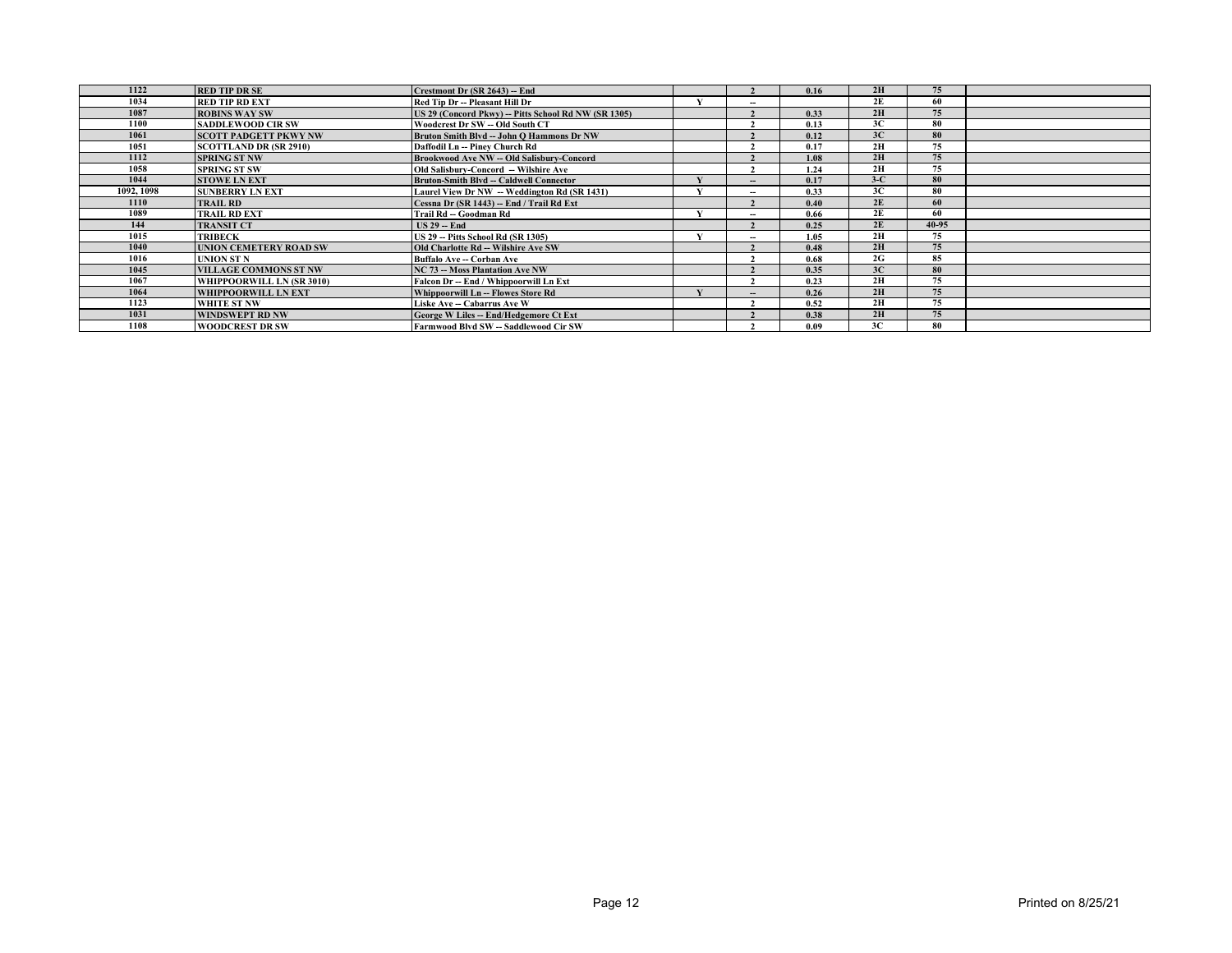| 1122       | <b>RED TIP DR SE</b>          | Crestmont Dr (SR 2643) -- End                        |       | 0.16 | 2H    | 75        |  |
|------------|-------------------------------|------------------------------------------------------|-------|------|-------|-----------|--|
| 1034       | <b>RED TIP RD EXT</b>         | Red Tip Dr -- Pleasant Hill Dr                       | $-$   |      | 2E    | 60        |  |
| 1087       | <b>ROBINS WAY SW</b>          | US 29 (Concord Pkwy) -- Pitts School Rd NW (SR 1305) |       | 0.33 | 2H    | 75        |  |
| 1100       | <b>SADDLEWOOD CIR SW</b>      | Woodcrest Dr SW -- Old South CT                      |       | 0.13 | 3C    | 80        |  |
| 1061       | <b>SCOTT PADGETT PKWY NW</b>  | Bruton Smith Blvd -- John O Hammons Dr NW            |       | 0.12 | 3C    | 80        |  |
| 1051       | <b>SCOTTLAND DR (SR 2910)</b> | Daffodil Ln -- Piney Church Rd                       |       | 0.17 | 2H    | 75        |  |
| 1112       | <b>SPRING ST NW</b>           | Brookwood Ave NW - Old Salisbury-Concord             |       | 1.08 | 2H    | 75        |  |
| 1058       | <b>SPRING ST SW</b>           | <b>Old Salisbury-Concord -- Wilshire Ave</b>         |       | 1.24 | 2H    | 75        |  |
| 1044       | <b>STOWE LN EXT</b>           | <b>Bruton-Smith Blvd -- Caldwell Connector</b>       | $- -$ | 0.17 | $3-C$ | 80        |  |
| 1092, 1098 | <b>SUNBERRY LN EXT</b>        | Laurel View Dr NW - Weddington Rd (SR 1431)          | $-$   | 0.33 | 3C    | 80        |  |
| 1110       | <b>TRAIL RD</b>               | Cessna Dr (SR 1443) -- End / Trail Rd Ext            |       | 0.40 | 2E    | 60        |  |
| 1089       | <b>TRAIL RD EXT</b>           | Trail Rd -- Goodman Rd                               | $- -$ | 0.66 | 2E    | 60        |  |
| 144        | <b>TRANSIT CT</b>             | $US 29 - End$                                        |       | 0.25 | 2E    | $40 - 95$ |  |
| 1015       | <b>TRIBECK</b>                | <b>US 29 - Pitts School Rd (SR 1305)</b>             | $-$   | 1.05 | 2H    | 75        |  |
| 1040       | <b>UNION CEMETERY ROAD SW</b> | <b>Old Charlotte Rd -- Wilshire Ave SW</b>           |       | 0.48 | 2H    | 75        |  |
| 1016       | <b>UNION ST N</b>             | Buffalo Ave - Corban Ave                             |       | 0.68 | 2G    | 85        |  |
| 1045       | <b>VILLAGE COMMONS ST NW</b>  | <b>NC 73 -- Moss Plantation Ave NW</b>               |       | 0.35 | 3C    | 80        |  |
| 1067       | WHIPPOORWILL LN (SR 3010)     | Falcon Dr -- End / Whippoorwill Ln Ext               |       | 0.23 | 2H    | 75        |  |
| 1064       | <b>WHIPPOORWILL LN EXT</b>    | Whippoorwill Ln -- Flowes Store Rd                   | --    | 0.26 | 2H    | 75        |  |
| 1123       | WHITE ST NW                   | Liske Ave -- Cabarrus Ave W                          |       | 0.52 | 2H    | 75        |  |
| 1031       | <b>WINDSWEPT RD NW</b>        | George W Liles -- End/Hedgemore Ct Ext               |       | 0.38 | 2H    | 75        |  |
| 1108       | <b>WOODCREST DR SW</b>        | Farmwood Blvd SW -- Saddlewood Cir SW                |       | 0.09 | 3C    | 80        |  |